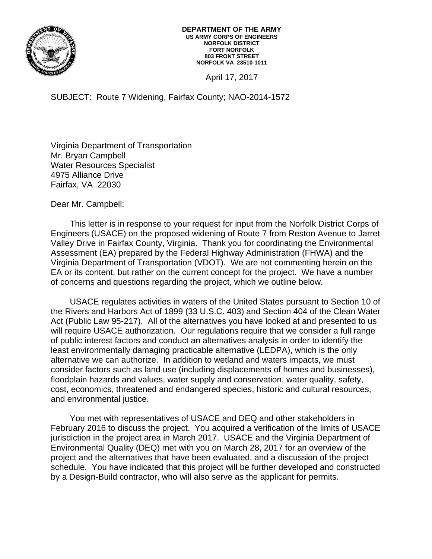

April 17, 2017

SUBJECT: Route 7 Widening, Fairfax County; NAO-2014-1572

Virginia Department of Transportation Mr. Bryan Campbell Water Resources Specialist 4975 Alliance Drive Fairfax, VA 22030

Dear Mr. Campbell:

This letter is in response to your request for input from the Norfolk District Corps of Engineers (USACE) on the proposed widening of Route 7 from Reston Avenue to Jarret Valley Drive in Fairfax County, Virginia. Thank you for coordinating the Environmental Assessment (EA) prepared by the Federal Highway Administration (FHWA) and the Virginia Department of Transportation (VDOT). We are not commenting herein on the EA or its content, but rather on the current concept for the project. We have a number of concerns and questions regarding the project, which we outline below.

USACE regulates activities in waters of the United States pursuant to Section 10 of the Rivers and Harbors Act of 1899 (33 U.S.C. 403) and Section 404 of the Clean Water Act (Public Law 95-217). All of the alternatives you have looked at and presented to us will require USACE authorization. Our regulations require that we consider a full range of public interest factors and conduct an alternatives analysis in order to identify the least environmentally damaging practicable alternative (LEDPA), which is the only alternative we can authorize. In addition to wetland and waters impacts, we must consider factors such as land use (including displacements of homes and businesses), floodplain hazards and values, water supply and conservation, water quality, safety, cost, economics, threatened and endangered species, historic and cultural resources, and environmental justice.

You met with representatives of USACE and DEQ and other stakeholders in February 2016 to discuss the project. You acquired a verification of the limits of USACE jurisdiction in the project area in March 2017. USACE and the Virginia Department of Environmental Quality (DEQ) met with you on March 28, 2017 for an overview of the project and the alternatives that have been evaluated, and a discussion of the project schedule. You have indicated that this project will be further developed and constructed by a Design-Build contractor, who will also serve as the applicant for permits.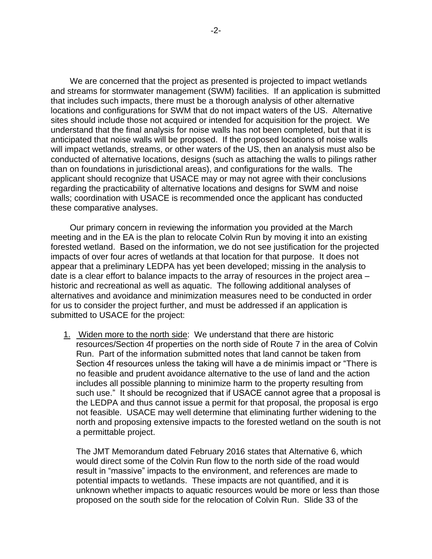We are concerned that the project as presented is projected to impact wetlands and streams for stormwater management (SWM) facilities. If an application is submitted that includes such impacts, there must be a thorough analysis of other alternative locations and configurations for SWM that do not impact waters of the US. Alternative sites should include those not acquired or intended for acquisition for the project. We understand that the final analysis for noise walls has not been completed, but that it is anticipated that noise walls will be proposed. If the proposed locations of noise walls will impact wetlands, streams, or other waters of the US, then an analysis must also be conducted of alternative locations, designs (such as attaching the walls to pilings rather than on foundations in jurisdictional areas), and configurations for the walls. The applicant should recognize that USACE may or may not agree with their conclusions regarding the practicability of alternative locations and designs for SWM and noise walls; coordination with USACE is recommended once the applicant has conducted these comparative analyses.

Our primary concern in reviewing the information you provided at the March meeting and in the EA is the plan to relocate Colvin Run by moving it into an existing forested wetland. Based on the information, we do not see justification for the projected impacts of over four acres of wetlands at that location for that purpose. It does not appear that a preliminary LEDPA has yet been developed; missing in the analysis to date is a clear effort to balance impacts to the array of resources in the project area – historic and recreational as well as aquatic. The following additional analyses of alternatives and avoidance and minimization measures need to be conducted in order for us to consider the project further, and must be addressed if an application is submitted to USACE for the project:

1. Widen more to the north side: We understand that there are historic resources/Section 4f properties on the north side of Route 7 in the area of Colvin Run. Part of the information submitted notes that land cannot be taken from Section 4f resources unless the taking will have a de minimis impact or "There is no feasible and prudent avoidance alternative to the use of land and the action includes all possible planning to minimize harm to the property resulting from such use." It should be recognized that if USACE cannot agree that a proposal is the LEDPA and thus cannot issue a permit for that proposal, the proposal is ergo not feasible. USACE may well determine that eliminating further widening to the north and proposing extensive impacts to the forested wetland on the south is not a permittable project.

The JMT Memorandum dated February 2016 states that Alternative 6, which would direct some of the Colvin Run flow to the north side of the road would result in "massive" impacts to the environment, and references are made to potential impacts to wetlands. These impacts are not quantified, and it is unknown whether impacts to aquatic resources would be more or less than those proposed on the south side for the relocation of Colvin Run. Slide 33 of the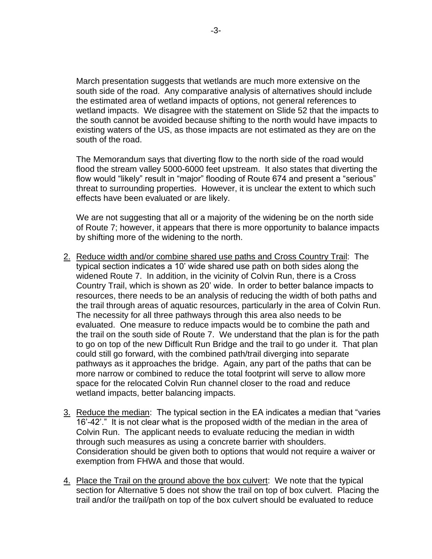March presentation suggests that wetlands are much more extensive on the south side of the road. Any comparative analysis of alternatives should include the estimated area of wetland impacts of options, not general references to wetland impacts. We disagree with the statement on Slide 52 that the impacts to the south cannot be avoided because shifting to the north would have impacts to existing waters of the US, as those impacts are not estimated as they are on the south of the road.

The Memorandum says that diverting flow to the north side of the road would flood the stream valley 5000-6000 feet upstream. It also states that diverting the flow would "likely" result in "major" flooding of Route 674 and present a "serious" threat to surrounding properties. However, it is unclear the extent to which such effects have been evaluated or are likely.

We are not suggesting that all or a majority of the widening be on the north side of Route 7; however, it appears that there is more opportunity to balance impacts by shifting more of the widening to the north.

- 2. Reduce width and/or combine shared use paths and Cross Country Trail: The typical section indicates a 10' wide shared use path on both sides along the widened Route 7. In addition, in the vicinity of Colvin Run, there is a Cross Country Trail, which is shown as 20' wide. In order to better balance impacts to resources, there needs to be an analysis of reducing the width of both paths and the trail through areas of aquatic resources, particularly in the area of Colvin Run. The necessity for all three pathways through this area also needs to be evaluated. One measure to reduce impacts would be to combine the path and the trail on the south side of Route 7. We understand that the plan is for the path to go on top of the new Difficult Run Bridge and the trail to go under it. That plan could still go forward, with the combined path/trail diverging into separate pathways as it approaches the bridge. Again, any part of the paths that can be more narrow or combined to reduce the total footprint will serve to allow more space for the relocated Colvin Run channel closer to the road and reduce wetland impacts, better balancing impacts.
- 3. Reduce the median: The typical section in the EA indicates a median that "varies 16'-42'." It is not clear what is the proposed width of the median in the area of Colvin Run. The applicant needs to evaluate reducing the median in width through such measures as using a concrete barrier with shoulders. Consideration should be given both to options that would not require a waiver or exemption from FHWA and those that would.
- 4. Place the Trail on the ground above the box culvert: We note that the typical section for Alternative 5 does not show the trail on top of box culvert. Placing the trail and/or the trail/path on top of the box culvert should be evaluated to reduce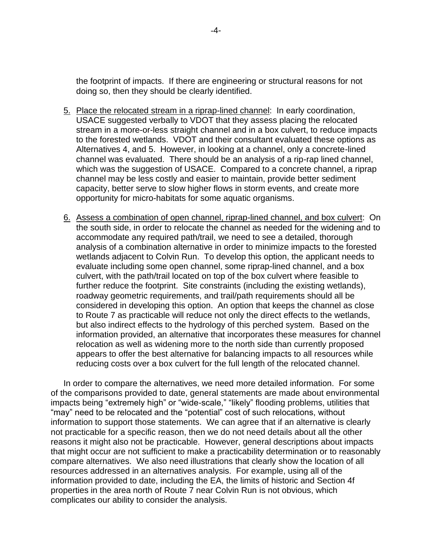the footprint of impacts. If there are engineering or structural reasons for not doing so, then they should be clearly identified.

- 5. Place the relocated stream in a riprap-lined channel: In early coordination, USACE suggested verbally to VDOT that they assess placing the relocated stream in a more-or-less straight channel and in a box culvert, to reduce impacts to the forested wetlands. VDOT and their consultant evaluated these options as Alternatives 4, and 5. However, in looking at a channel, only a concrete-lined channel was evaluated. There should be an analysis of a rip-rap lined channel, which was the suggestion of USACE. Compared to a concrete channel, a riprap channel may be less costly and easier to maintain, provide better sediment capacity, better serve to slow higher flows in storm events, and create more opportunity for micro-habitats for some aquatic organisms.
- 6. Assess a combination of open channel, riprap-lined channel, and box culvert: On the south side, in order to relocate the channel as needed for the widening and to accommodate any required path/trail, we need to see a detailed, thorough analysis of a combination alternative in order to minimize impacts to the forested wetlands adjacent to Colvin Run. To develop this option, the applicant needs to evaluate including some open channel, some riprap-lined channel, and a box culvert, with the path/trail located on top of the box culvert where feasible to further reduce the footprint. Site constraints (including the existing wetlands), roadway geometric requirements, and trail/path requirements should all be considered in developing this option. An option that keeps the channel as close to Route 7 as practicable will reduce not only the direct effects to the wetlands, but also indirect effects to the hydrology of this perched system. Based on the information provided, an alternative that incorporates these measures for channel relocation as well as widening more to the north side than currently proposed appears to offer the best alternative for balancing impacts to all resources while reducing costs over a box culvert for the full length of the relocated channel.

In order to compare the alternatives, we need more detailed information. For some of the comparisons provided to date, general statements are made about environmental impacts being "extremely high" or "wide-scale," "likely" flooding problems, utilities that "may" need to be relocated and the "potential" cost of such relocations, without information to support those statements. We can agree that if an alternative is clearly not practicable for a specific reason, then we do not need details about all the other reasons it might also not be practicable. However, general descriptions about impacts that might occur are not sufficient to make a practicability determination or to reasonably compare alternatives. We also need illustrations that clearly show the location of all resources addressed in an alternatives analysis. For example, using all of the information provided to date, including the EA, the limits of historic and Section 4f properties in the area north of Route 7 near Colvin Run is not obvious, which complicates our ability to consider the analysis.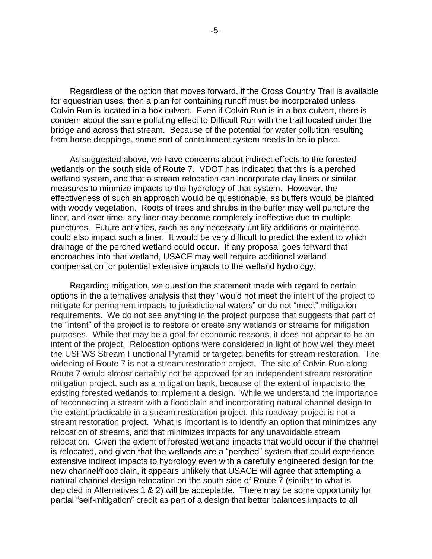Regardless of the option that moves forward, if the Cross Country Trail is available for equestrian uses, then a plan for containing runoff must be incorporated unless Colvin Run is located in a box culvert. Even if Colvin Run is in a box culvert, there is concern about the same polluting effect to Difficult Run with the trail located under the bridge and across that stream. Because of the potential for water pollution resulting from horse droppings, some sort of containment system needs to be in place.

As suggested above, we have concerns about indirect effects to the forested wetlands on the south side of Route 7. VDOT has indicated that this is a perched wetland system, and that a stream relocation can incorporate clay liners or similar measures to minmize impacts to the hydrology of that system. However, the effectiveness of such an approach would be questionable, as buffers would be planted with woody vegetation. Roots of trees and shrubs in the buffer may well puncture the liner, and over time, any liner may become completely ineffective due to multiple punctures. Future activities, such as any necessary untility additions or maintence, could also impact such a liner. It would be very difficult to predict the extent to which drainage of the perched wetland could occur. If any proposal goes forward that encroaches into that wetland, USACE may well require additional wetland compensation for potential extensive impacts to the wetland hydrology.

Regarding mitigation, we question the statement made with regard to certain options in the alternatives analysis that they "would not meet the intent of the project to mitigate for permanent impacts to jurisdictional waters" or do not "meet" mitigation requirements. We do not see anything in the project purpose that suggests that part of the "intent" of the project is to restore or create any wetlands or streams for mitigation purposes. While that may be a goal for economic reasons, it does not appear to be an intent of the project. Relocation options were considered in light of how well they meet the USFWS Stream Functional Pyramid or targeted benefits for stream restoration. The widening of Route 7 is not a stream restoration project. The site of Colvin Run along Route 7 would almost certainly not be approved for an independent stream restoration mitigation project, such as a mitigation bank, because of the extent of impacts to the existing forested wetlands to implement a design. While we understand the importance of reconnecting a stream with a floodplain and incorporating natural channel design to the extent practicable in a stream restoration project, this roadway project is not a stream restoration project. What is important is to identify an option that minimizes any relocation of streams, and that minimizes impacts for any unavoidable stream relocation. Given the extent of forested wetland impacts that would occur if the channel is relocated, and given that the wetlands are a "perched" system that could experience extensive indirect impacts to hydrology even with a carefully engineered design for the new channel/floodplain, it appears unlikely that USACE will agree that attempting a natural channel design relocation on the south side of Route 7 (similar to what is depicted in Alternatives 1 & 2) will be acceptable. There may be some opportunity for partial "self-mitigation" credit as part of a design that better balances impacts to all